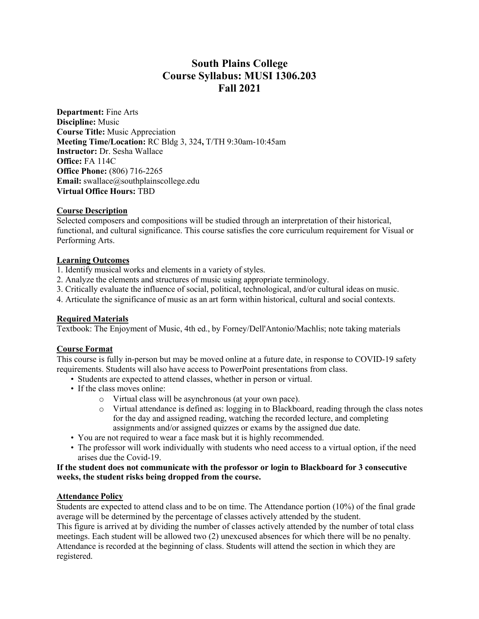# **South Plains College Course Syllabus: MUSI 1306.203 Fall 2021**

**Department:** Fine Arts **Discipline:** Music **Course Title:** Music Appreciation **Meeting Time/Location:** RC Bldg 3, 324**,** T/TH 9:30am-10:45am **Instructor:** Dr. Sesha Wallace **Office:** FA 114C **Office Phone:** (806) 716-2265 **Email:** swallace@southplainscollege.edu **Virtual Office Hours:** TBD

# **Course Description**

Selected composers and compositions will be studied through an interpretation of their historical, functional, and cultural significance. This course satisfies the core curriculum requirement for Visual or Performing Arts.

# **Learning Outcomes**

1. Identify musical works and elements in a variety of styles.

- 2. Analyze the elements and structures of music using appropriate terminology.
- 3. Critically evaluate the influence of social, political, technological, and/or cultural ideas on music.
- 4. Articulate the significance of music as an art form within historical, cultural and social contexts.

## **Required Materials**

Textbook: The Enjoyment of Music, 4th ed., by Forney/Dell'Antonio/Machlis; note taking materials

## **Course Format**

This course is fully in-person but may be moved online at a future date, in response to COVID-19 safety requirements. Students will also have access to PowerPoint presentations from class.

- Students are expected to attend classes, whether in person or virtual.
- If the class moves online:
	- o Virtual class will be asynchronous (at your own pace).
	- o Virtual attendance is defined as: logging in to Blackboard, reading through the class notes for the day and assigned reading, watching the recorded lecture, and completing assignments and/or assigned quizzes or exams by the assigned due date.
- You are not required to wear a face mask but it is highly recommended.
- The professor will work individually with students who need access to a virtual option, if the need arises due the Covid-19.

## **If the student does not communicate with the professor or login to Blackboard for 3 consecutive weeks, the student risks being dropped from the course.**

## **Attendance Policy**

Students are expected to attend class and to be on time. The Attendance portion (10%) of the final grade average will be determined by the percentage of classes actively attended by the student. This figure is arrived at by dividing the number of classes actively attended by the number of total class meetings. Each student will be allowed two (2) unexcused absences for which there will be no penalty. Attendance is recorded at the beginning of class. Students will attend the section in which they are registered.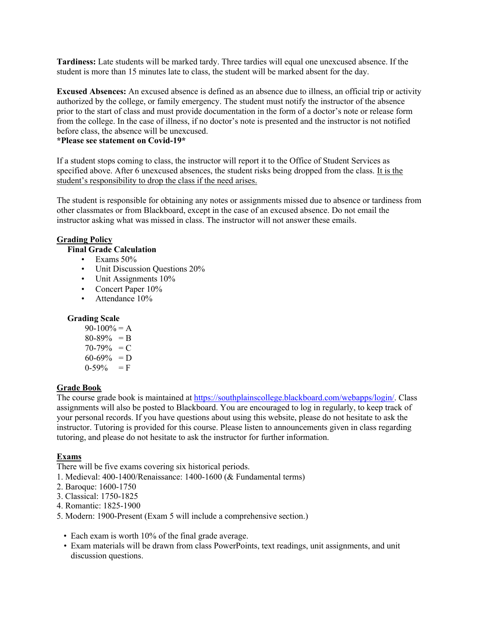**Tardiness:** Late students will be marked tardy. Three tardies will equal one unexcused absence. If the student is more than 15 minutes late to class, the student will be marked absent for the day.

**Excused Absences:** An excused absence is defined as an absence due to illness, an official trip or activity authorized by the college, or family emergency. The student must notify the instructor of the absence prior to the start of class and must provide documentation in the form of a doctor's note or release form from the college. In the case of illness, if no doctor's note is presented and the instructor is not notified before class, the absence will be unexcused.

## **\*Please see statement on Covid-19\***

If a student stops coming to class, the instructor will report it to the Office of Student Services as specified above. After 6 unexcused absences, the student risks being dropped from the class. It is the student's responsibility to drop the class if the need arises.

The student is responsible for obtaining any notes or assignments missed due to absence or tardiness from other classmates or from Blackboard, except in the case of an excused absence. Do not email the instructor asking what was missed in class. The instructor will not answer these emails.

## **Grading Policy**

# **Final Grade Calculation**

- Exams  $50\%$
- Unit Discussion Questions 20%
- Unit Assignments  $10\%$
- Concert Paper 10%
- Attendance 10%

## **Grading Scale**

 $90-100% = A$  $80-89\% = B$  $70-79\% = C$  $60-69\% = D$  $0-59\% = F$ 

## **Grade Book**

The course grade book is maintained at https://southplainscollege.blackboard.com/webapps/login/. Class assignments will also be posted to Blackboard. You are encouraged to log in regularly, to keep track of your personal records. If you have questions about using this website, please do not hesitate to ask the instructor. Tutoring is provided for this course. Please listen to announcements given in class regarding tutoring, and please do not hesitate to ask the instructor for further information.

# **Exams**

There will be five exams covering six historical periods.

- 1. Medieval: 400-1400/Renaissance: 1400-1600 (& Fundamental terms)
- 2. Baroque: 1600-1750
- 3. Classical: 1750-1825
- 4. Romantic: 1825-1900
- 5. Modern: 1900-Present (Exam 5 will include a comprehensive section.)
	- Each exam is worth 10% of the final grade average.
	- Exam materials will be drawn from class PowerPoints, text readings, unit assignments, and unit discussion questions.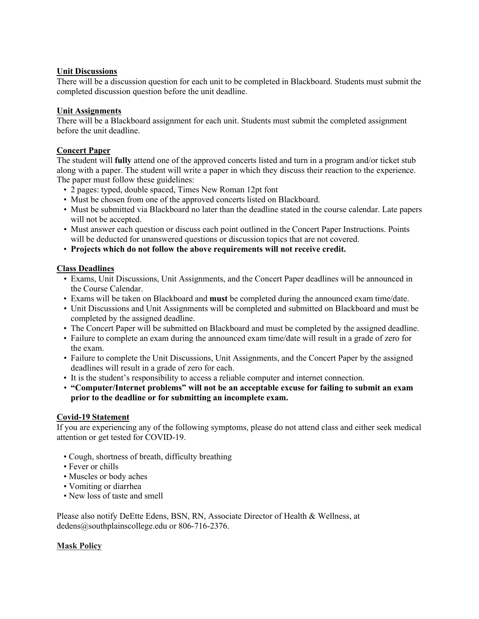# **Unit Discussions**

There will be a discussion question for each unit to be completed in Blackboard. Students must submit the completed discussion question before the unit deadline.

# **Unit Assignments**

There will be a Blackboard assignment for each unit. Students must submit the completed assignment before the unit deadline.

# **Concert Paper**

The student will **fully** attend one of the approved concerts listed and turn in a program and/or ticket stub along with a paper. The student will write a paper in which they discuss their reaction to the experience. The paper must follow these guidelines:

- 2 pages: typed, double spaced, Times New Roman 12pt font
- Must be chosen from one of the approved concerts listed on Blackboard.
- Must be submitted via Blackboard no later than the deadline stated in the course calendar. Late papers will not be accepted.
- Must answer each question or discuss each point outlined in the Concert Paper Instructions. Points will be deducted for unanswered questions or discussion topics that are not covered.
- **Projects which do not follow the above requirements will not receive credit.**

# **Class Deadlines**

- Exams, Unit Discussions, Unit Assignments, and the Concert Paper deadlines will be announced in the Course Calendar.
- Exams will be taken on Blackboard and **must** be completed during the announced exam time/date.
- Unit Discussions and Unit Assignments will be completed and submitted on Blackboard and must be completed by the assigned deadline.
- The Concert Paper will be submitted on Blackboard and must be completed by the assigned deadline.
- Failure to complete an exam during the announced exam time/date will result in a grade of zero for the exam.
- Failure to complete the Unit Discussions, Unit Assignments, and the Concert Paper by the assigned deadlines will result in a grade of zero for each.
- It is the student's responsibility to access a reliable computer and internet connection.
- **"Computer/Internet problems" will not be an acceptable excuse for failing to submit an exam prior to the deadline or for submitting an incomplete exam.**

## **Covid-19 Statement**

If you are experiencing any of the following symptoms, please do not attend class and either seek medical attention or get tested for COVID-19.

- Cough, shortness of breath, difficulty breathing
- Fever or chills
- Muscles or body aches
- Vomiting or diarrhea
- New loss of taste and smell

Please also notify DeEtte Edens, BSN, RN, Associate Director of Health & Wellness, at dedens@southplainscollege.edu or 806-716-2376.

# **Mask Policy**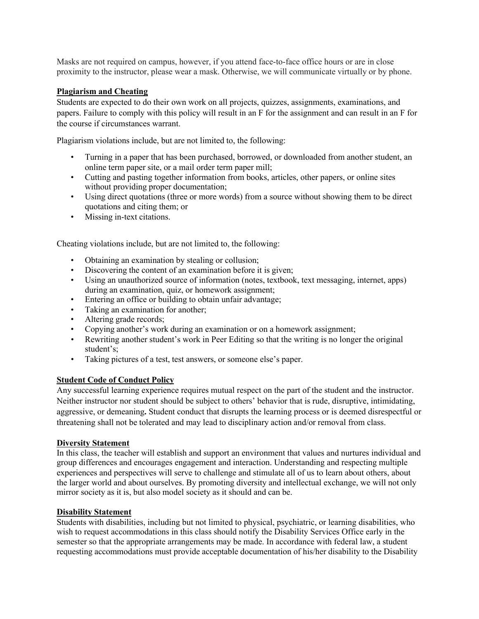Masks are not required on campus, however, if you attend face-to-face office hours or are in close proximity to the instructor, please wear a mask. Otherwise, we will communicate virtually or by phone.

# **Plagiarism and Cheating**

Students are expected to do their own work on all projects, quizzes, assignments, examinations, and papers. Failure to comply with this policy will result in an F for the assignment and can result in an F for the course if circumstances warrant.

Plagiarism violations include, but are not limited to, the following:

- Turning in a paper that has been purchased, borrowed, or downloaded from another student, an online term paper site, or a mail order term paper mill;
- Cutting and pasting together information from books, articles, other papers, or online sites without providing proper documentation;
- Using direct quotations (three or more words) from a source without showing them to be direct quotations and citing them; or
- Missing in-text citations.

Cheating violations include, but are not limited to, the following:

- Obtaining an examination by stealing or collusion;
- Discovering the content of an examination before it is given;
- Using an unauthorized source of information (notes, textbook, text messaging, internet, apps) during an examination, quiz, or homework assignment;
- Entering an office or building to obtain unfair advantage;
- Taking an examination for another;
- Altering grade records;
- Copying another's work during an examination or on a homework assignment;
- Rewriting another student's work in Peer Editing so that the writing is no longer the original student's;
- Taking pictures of a test, test answers, or someone else's paper.

## **Student Code of Conduct Policy**

Any successful learning experience requires mutual respect on the part of the student and the instructor. Neither instructor nor student should be subject to others' behavior that is rude, disruptive, intimidating, aggressive, or demeaning**.** Student conduct that disrupts the learning process or is deemed disrespectful or threatening shall not be tolerated and may lead to disciplinary action and/or removal from class.

## **Diversity Statement**

In this class, the teacher will establish and support an environment that values and nurtures individual and group differences and encourages engagement and interaction. Understanding and respecting multiple experiences and perspectives will serve to challenge and stimulate all of us to learn about others, about the larger world and about ourselves. By promoting diversity and intellectual exchange, we will not only mirror society as it is, but also model society as it should and can be.

## **Disability Statement**

Students with disabilities, including but not limited to physical, psychiatric, or learning disabilities, who wish to request accommodations in this class should notify the Disability Services Office early in the semester so that the appropriate arrangements may be made. In accordance with federal law, a student requesting accommodations must provide acceptable documentation of his/her disability to the Disability